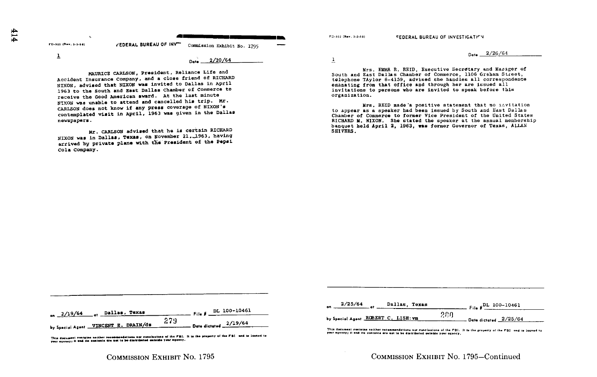| 3-302 (Rev. 3-3-58) | FEDERAL BUREAU OF INV | Commission Exhibit No. 1795 |
|---------------------|-----------------------|-----------------------------|

 $\overline{1}$ 

F

Date ...

 $2/20/64$ 

MAURICE CARLSON, President, Reliance Life and Accident Insurance Company, and a close friend of RICHARD NIXON, advised that NIXON was invited to Dallas in April 1963 to the South and East Dallas Chamber of Commerce to receive the Good American award. At the last minute NIXON was unable to attend and cancelled his trip. Mr. CARLSON does not know if any press coverage of NIXON's contemplated visit in April, 1963 was given in the Dallas newspapers.

Mr. CARLSON advised that he is certain RICHARD NIXON was in Dallas, Texas, on November 21, 1963, having arrived by private plane with the President of the Pepsi Cola Company.

FD-302 (Rev. 3-3-59)

 $\overline{1}$ 

--

**FEDERAL BUREAU OF INVESTIGATION** 

Date  $-2/26/64$ 

Mrs. EMMA R. REID. Executive Secretary and Masager of South and East Dallas Chamber of Commerce. 1106 Graham Street, telephone TAylor 6-4159, advised she handies all correspondence emanating from that office and through her are issued all invitations to persons who are invited to speak before this organization.

Mrs. REID made 'a positive statement that no invitation to appear as a speaker had been issued by South and East Dallas Chamber of Commerce to former Vice President of the United States RICHARD M. NIXON. She stated the speaker at the annual membership banquet held April 2, 1963, was former Governor of Texas, ALLAN SHIVERS.

| on $2/19/64$ or Dallas, Texas        | $\frac{1}{2}$ File # $\frac{DL}{2}$ 100-10461 |
|--------------------------------------|-----------------------------------------------|
|                                      | -279                                          |
| by Special Agent VINCENT E. DRAIN/ds | $\frac{2}{19/64}$                             |

This document contains noither recommendations nor concinctons of the PBI. It is the preparty of the PBI- and is locned to<br>your agency; it and its contents are not to be distributed outside your agency.

| 2/25/64<br>on                       | Dallas, Texas |     | $-$ File $*$ $\frac{DL-100-10461}{2}$ |
|-------------------------------------|---------------|-----|---------------------------------------|
| by Special Agent ROBERT C. LISH: vm |               | շռո | Date dictated $2/25/64$               |

This document contains neither recommendations nor conclusions of the FBI. It is the property of the FBI and is loaned to your agency; it and its contents are not to be distributed outside your agency,

## COMMISSION EXHIBIT No. 1795-Continued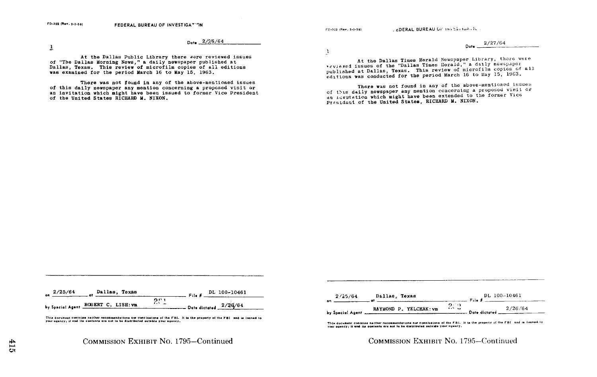ro,c w. . .-eui 2DERAL BUREAU (,i- in, t'- n.A . It

 $\frac{2/25/64}{2}$  .  $\frac{2/27/64}{2}$  .  $\frac{2}{27/64}$ 

 $\overline{1}$ 

At the Dallas Public Library there were reviewed issues of "The Dallas Morning News," a daily newspaper published at Of the bailas mothing news, a daily hewspaper photished at was examined for the period March 16 to May 15, 1963 .

There was not found in any of the above-mentioned issues<br>of this daily newspaper any mention concerning a proposed visit or The result of this daily newspaper any mention concerning a proposed visit or any of the subsection of this daily newspaper any mention concerning a proposed visit or and the subsection of this daily newspaper any mention an invitation which might have been issued to former Vice President and the United States RICHARD M. NIXON.<br>Of the United States RICHARD M. NIXON.

Dar. 2/ 27/64

At the Dallas Times Herald Newspaper Library, there were veviewed issues of the "Dallas Times Herald," a daily newspaper published at Dallas, Texas. This review of microfilm copies of all editions was conducted for the period March 16 to May 15, 1963.<br>There was not found in any of the above-mentioned issues

President of the United States, RICHARD M. NIXON.

| 2/25/64<br>Dallas, Texas<br>96                                                  | $\frac{1}{2}$ File # DL 100-10461                                                                                         |
|---------------------------------------------------------------------------------|---------------------------------------------------------------------------------------------------------------------------|
| by Special Agent ROBERT C. LISH: Vm                                             | 221<br>. Date dictated $2/36/64$                                                                                          |
| your agency; it and its contents are not to be distributed outside your agency. | This document contains neither recommendations nor conclusions of the FBI. It is the property of the FBI and is loaned to |



This document contains neither recommendations nor conclusions of the FBI. It is the property of the FBI and is loaned to<br>your agency; it and its contents are not to be distributed outside your agency.

COMMISSION EXHIBIT NO. 1795-Continued COMMISSION EXHIBIT NO. 1795-Continued